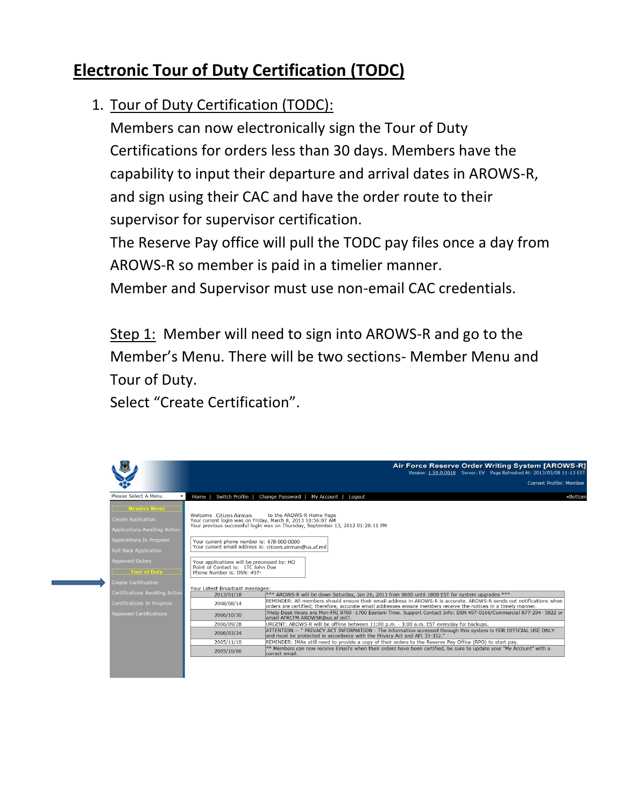# **Electronic Tour of Duty Certification (TODC)**

### 1. Tour of Duty Certification (TODC):

Members can now electronically sign the Tour of Duty Certifications for orders less than 30 days. Members have the capability to input their departure and arrival dates in AROWS-R, and sign using their CAC and have the order route to their supervisor for supervisor certification.

The Reserve Pay office will pull the TODC pay files once a day from AROWS-R so member is paid in a timelier manner.

Member and Supervisor must use non-email CAC credentials.

Step 1: Member will need to sign into AROWS-R and go to the Member's Menu. There will be two sections- Member Menu and Tour of Duty.

Select "Create Certification".

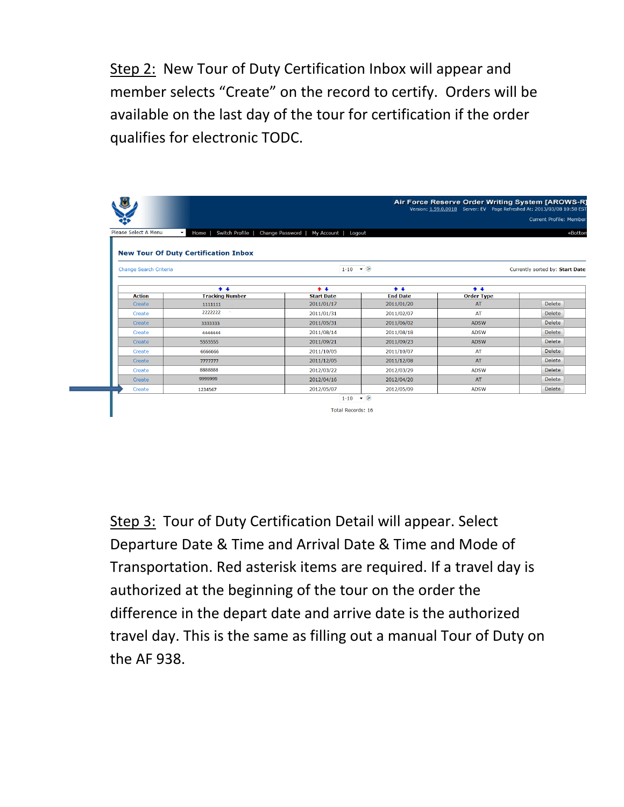Step 2: New Tour of Duty Certification Inbox will appear and member selects "Create" on the record to certify. Orders will be available on the last day of the tour for certification if the order qualifies for electronic TODC.

|                      |                                                                                       |                   |                          | Air Force Reserve Order Writing System [AROWS-R]<br>Version: 1.59.0.0018 Server: EV Page Refreshed At: 2013/03/08 10:58 EST |                                 |  |
|----------------------|---------------------------------------------------------------------------------------|-------------------|--------------------------|-----------------------------------------------------------------------------------------------------------------------------|---------------------------------|--|
|                      |                                                                                       |                   |                          |                                                                                                                             | <b>Current Profile: Member</b>  |  |
| Please Select A Menu | $\blacktriangledown$<br>Home   Switch Profile   Change Password   My Account   Logout |                   |                          |                                                                                                                             |                                 |  |
|                      |                                                                                       |                   |                          |                                                                                                                             |                                 |  |
|                      | <b>New Tour Of Duty Certification Inbox</b>                                           |                   |                          |                                                                                                                             |                                 |  |
|                      | Change Search Criteria                                                                |                   | $1-10$ $\bullet$ $\odot$ |                                                                                                                             | Currently sorted by: Start Date |  |
|                      |                                                                                       |                   |                          |                                                                                                                             |                                 |  |
|                      | $+ +$                                                                                 | $+ +$             | $+ +$                    | $+ +$                                                                                                                       |                                 |  |
| <b>Action</b>        | <b>Tracking Number</b>                                                                | <b>Start Date</b> | <b>End Date</b>          | <b>Order Type</b>                                                                                                           |                                 |  |
| Create               | 1111111                                                                               | 2011/01/17        | 2011/01/20               | AT                                                                                                                          | Delete                          |  |
| Create               | 2222222<br>×.                                                                         | 2011/01/31        | 2011/02/07               | AT                                                                                                                          | Delete                          |  |
| Create               | 3333333                                                                               | 2011/05/31        | 2011/06/02               | <b>ADSW</b>                                                                                                                 | <b>Delete</b>                   |  |
| Create               | 4444444                                                                               | 2011/08/14        | 2011/08/18               | <b>ADSW</b>                                                                                                                 | Delete                          |  |
| Create               | 5555555                                                                               | 2011/09/21        | 2011/09/23               | <b>ADSW</b>                                                                                                                 | <b>Delete</b>                   |  |
| Create               | 6666666                                                                               | 2011/10/05        | 2011/10/07               | AT                                                                                                                          | Delete                          |  |
| Create               | 7777777                                                                               | 2011/12/05        | 2011/12/08               | AT                                                                                                                          | <b>Delete</b>                   |  |
| Create               | 8888888                                                                               | 2012/03/22        | 2012/03/29               | <b>ADSW</b>                                                                                                                 | <b>Delete</b>                   |  |
| Create               | 9999999                                                                               | 2012/04/16        | 2012/04/20               | AT                                                                                                                          | <b>Delete</b>                   |  |
| Create               | 1234567                                                                               | 2012/05/07        | 2012/05/09               | <b>ADSW</b>                                                                                                                 | <b>Delete</b>                   |  |
|                      |                                                                                       |                   |                          |                                                                                                                             |                                 |  |

Step 3: Tour of Duty Certification Detail will appear. Select Departure Date & Time and Arrival Date & Time and Mode of Transportation. Red asterisk items are required. If a travel day is authorized at the beginning of the tour on the order the difference in the depart date and arrive date is the authorized travel day. This is the same as filling out a manual Tour of Duty on the AF 938.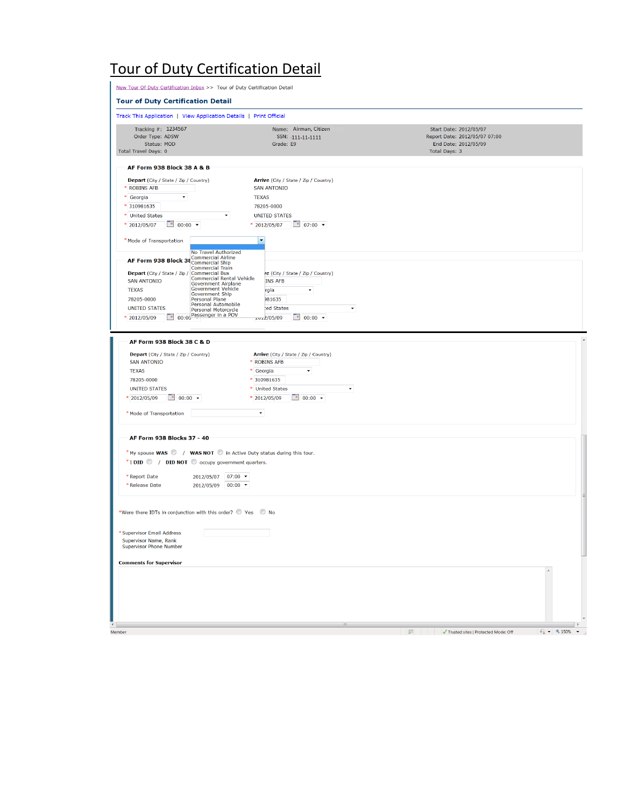## Tour of Duty Certification Detail

| New Tour Of Duty Certification Inbox >> Tour of Duty Certification Detail                                                                                                                                                                                                                                                                                                                                                                           |                                                                                                                                                                                      |                                                                                                         |                                                           |
|-----------------------------------------------------------------------------------------------------------------------------------------------------------------------------------------------------------------------------------------------------------------------------------------------------------------------------------------------------------------------------------------------------------------------------------------------------|--------------------------------------------------------------------------------------------------------------------------------------------------------------------------------------|---------------------------------------------------------------------------------------------------------|-----------------------------------------------------------|
| <b>Tour of Duty Certification Detail</b>                                                                                                                                                                                                                                                                                                                                                                                                            |                                                                                                                                                                                      |                                                                                                         |                                                           |
| Track This Application   View Application Details   Print Official                                                                                                                                                                                                                                                                                                                                                                                  |                                                                                                                                                                                      |                                                                                                         |                                                           |
| Tracking #: 1234567<br>Order Type: ADSW<br>Status: MOD<br><b>Total Travel Days: 0</b>                                                                                                                                                                                                                                                                                                                                                               | Name: Airman, Citizen<br>SSN: - 111-11-1111<br>Grade: E9                                                                                                                             | Start Date: 2012/05/07<br>Report Date: 2012/05/07 07:00<br>End Date: 2012/05/09<br><b>Total Days: 3</b> |                                                           |
| AF Form 938 Block 38 A & B                                                                                                                                                                                                                                                                                                                                                                                                                          |                                                                                                                                                                                      |                                                                                                         |                                                           |
| Depart (City / State / Zip / Country)<br>* ROBINS AFB<br>* Georgia<br>* 310981635<br>* United States<br>$\overline{\phantom{a}}$<br>$\frac{1}{2}$ 00:00 $\sim$<br>* 2012/05/07                                                                                                                                                                                                                                                                      | Arrive (City / State / Zip / Country)<br><b>SAN ANTONIO</b><br><b>TEXAS</b><br>78205-0000<br><b>UNITED STATES</b><br>$\frac{1}{2}$ 07:00 $\sim$<br>* 2012/05/07                      |                                                                                                         |                                                           |
| * Mode of Transportation                                                                                                                                                                                                                                                                                                                                                                                                                            | $\blacksquare$                                                                                                                                                                       |                                                                                                         |                                                           |
| No Travel Authorized<br>AF Form 938 Block 38 Commercial Airline<br><b>Commercial Train</b><br>Depart (City / State / Zip / Commercial Bus<br><b>Commercial Rental Vehicle</b><br><b>SAN ANTONIO</b><br><b>Government Airplane</b><br>Government Vehicle<br><b>TEXAS</b><br><b>Government Ship</b><br>78205-0000<br>Personal Plane<br>Personal Automobile<br><b>UNITED STATES</b><br>Personal Motorcycle<br>00:00 Passenger in a POV<br>* 2012/05/09 | re (City / State / Zip / Country)<br><b>INS AFB</b><br>rgia<br>$\overline{\phantom{a}}$<br>981635<br>ed States<br>$\frac{1}{2}$ 00:00 $\sim$<br>2012/05/09                           |                                                                                                         |                                                           |
| AF Form 938 Block 38 C & D                                                                                                                                                                                                                                                                                                                                                                                                                          |                                                                                                                                                                                      |                                                                                                         |                                                           |
| Depart (City / State / Zip / Country)<br><b>SAN ANTONIO</b><br><b>TEXAS</b><br>78205-0000<br><b>UNITED STATES</b><br>* 2012/05/09<br>$\frac{a}{2}$ 00:00 $\sim$<br>* Mode of Transportation                                                                                                                                                                                                                                                         | Arrive (City / State / Zip / Country)<br>* ROBINS AFB<br>* Georgia<br>٠<br>* 310981635<br>* United States<br>۰<br>* 2012/05/09<br>$\frac{a}{1}$ 00:00 $\sim$<br>$\blacktriangledown$ |                                                                                                         |                                                           |
| AF Form 938 Blocks 37 - 40                                                                                                                                                                                                                                                                                                                                                                                                                          |                                                                                                                                                                                      |                                                                                                         |                                                           |
| *My spouse WAS V / WAS NOT O in Active Duty status during this tour.<br>*I DID   / DID NOT @ occupy government quarters.<br>* Report Date<br>2012/05/07 07:00 -<br>*Release Date<br>2012/05/09 00:00 *                                                                                                                                                                                                                                              |                                                                                                                                                                                      |                                                                                                         |                                                           |
| *Were there IDTs in conjunction with this order? © Yes © No                                                                                                                                                                                                                                                                                                                                                                                         |                                                                                                                                                                                      |                                                                                                         |                                                           |
| * Supervisor Email Address<br>Supervisor Name, Rank<br><b>Supervisor Phone Number</b>                                                                                                                                                                                                                                                                                                                                                               |                                                                                                                                                                                      |                                                                                                         |                                                           |
| <b>Comments for Supervisor</b>                                                                                                                                                                                                                                                                                                                                                                                                                      |                                                                                                                                                                                      |                                                                                                         |                                                           |
|                                                                                                                                                                                                                                                                                                                                                                                                                                                     | ш                                                                                                                                                                                    |                                                                                                         | $\overline{1}$                                            |
| Member                                                                                                                                                                                                                                                                                                                                                                                                                                              |                                                                                                                                                                                      | $\sqrt{2}$<br>√ Trusted sites   Protected Mode: Off                                                     | $\frac{1}{2}$ $\sqrt{2}$ 150%<br>$\overline{\phantom{a}}$ |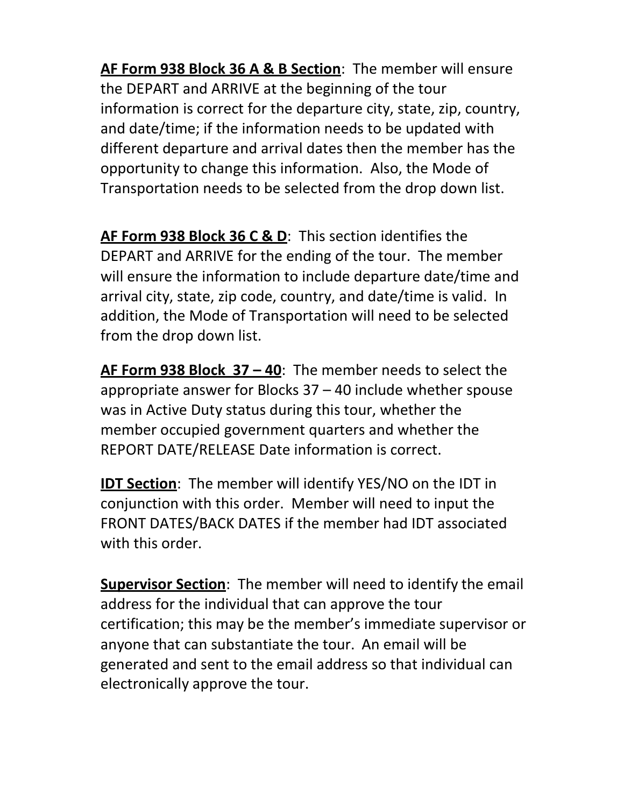**AF Form 938 Block 36 A & B Section**: The member will ensure the DEPART and ARRIVE at the beginning of the tour information is correct for the departure city, state, zip, country, and date/time; if the information needs to be updated with different departure and arrival dates then the member has the opportunity to change this information. Also, the Mode of Transportation needs to be selected from the drop down list.

**AF Form 938 Block 36 C & D**: This section identifies the DEPART and ARRIVE for the ending of the tour. The member will ensure the information to include departure date/time and arrival city, state, zip code, country, and date/time is valid. In addition, the Mode of Transportation will need to be selected from the drop down list.

**AF Form 938 Block 37 – 40**: The member needs to select the appropriate answer for Blocks 37 – 40 include whether spouse was in Active Duty status during this tour, whether the member occupied government quarters and whether the REPORT DATE/RELEASE Date information is correct.

**IDT Section**: The member will identify YES/NO on the IDT in conjunction with this order. Member will need to input the FRONT DATES/BACK DATES if the member had IDT associated with this order.

**Supervisor Section**: The member will need to identify the email address for the individual that can approve the tour certification; this may be the member's immediate supervisor or anyone that can substantiate the tour. An email will be generated and sent to the email address so that individual can electronically approve the tour.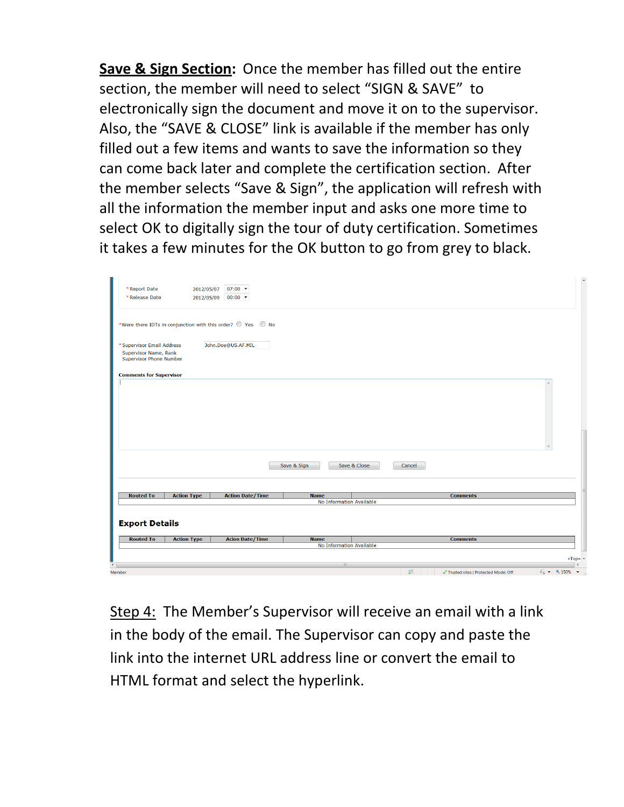**Save & Sign Section:** Once the member has filled out the entire section, the member will need to select "SIGN & SAVE" to electronically sign the document and move it on to the supervisor. Also, the "SAVE & CLOSE" link is available if the member has only filled out a few items and wants to save the information so they can come back later and complete the certification section. After the member selects "Save & Sign", the application will refresh with all the information the member input and asks one more time to select OK to digitally sign the tour of duty certification. Sometimes it takes a few minutes for the OK button to go from grey to black.

| <b>Routed To</b><br><b>Export Details</b><br><b>Routed To</b> | <b>Action Type</b> | <b>Acion Date/Time</b>                                      | <b>Name</b> |                          |        | <b>Comments</b> |  |
|---------------------------------------------------------------|--------------------|-------------------------------------------------------------|-------------|--------------------------|--------|-----------------|--|
|                                                               |                    |                                                             |             |                          |        |                 |  |
|                                                               |                    |                                                             |             |                          |        |                 |  |
|                                                               | <b>Action Type</b> | <b>Action Date/Time</b>                                     | <b>Name</b> | No Information Available |        | <b>Comments</b> |  |
|                                                               |                    |                                                             |             |                          |        |                 |  |
|                                                               |                    |                                                             |             |                          |        |                 |  |
|                                                               |                    |                                                             | Save & Sign | Save & Close             | Cancel |                 |  |
|                                                               |                    |                                                             |             |                          |        |                 |  |
|                                                               |                    |                                                             |             |                          |        |                 |  |
|                                                               |                    |                                                             |             |                          |        |                 |  |
|                                                               |                    |                                                             |             |                          |        |                 |  |
|                                                               |                    |                                                             |             |                          |        |                 |  |
| <b>Comments for Supervisor</b>                                |                    |                                                             |             |                          |        |                 |  |
| Supervisor Name, Rank<br><b>Supervisor Phone Number</b>       |                    |                                                             |             |                          |        |                 |  |
| * Supervisor Email Address                                    |                    | John.Doe@US.AF.MIL                                          |             |                          |        |                 |  |
|                                                               |                    | *Were there IDTs in conjunction with this order? © Yes © No |             |                          |        |                 |  |
|                                                               |                    |                                                             |             |                          |        |                 |  |
|                                                               | 2012/05/09         | $00:00$ $\star$                                             |             |                          |        |                 |  |

Step 4: The Member's Supervisor will receive an email with a link in the body of the email. The Supervisor can copy and paste the link into the internet URL address line or convert the email to HTML format and select the hyperlink.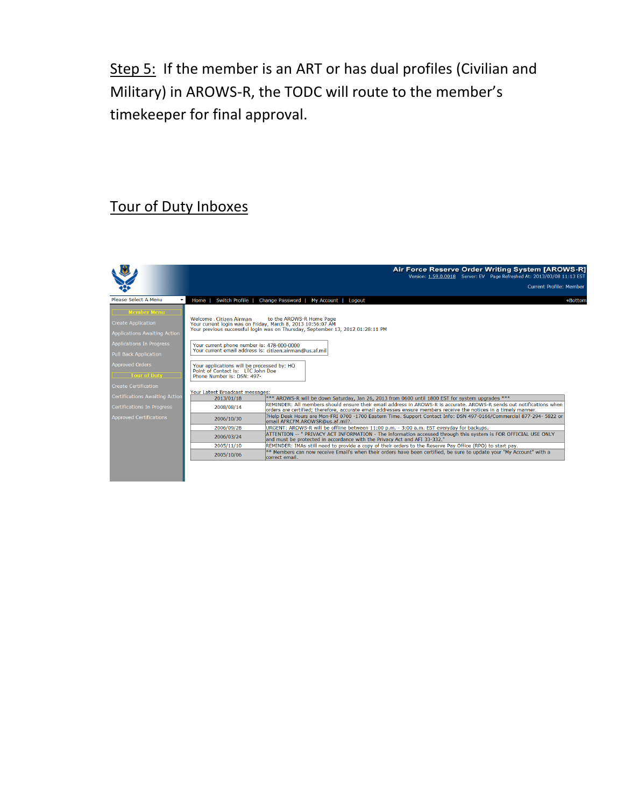Step 5: If the member is an ART or has dual profiles (Civilian and Military) in AROWS-R, the TODC will route to the member's timekeeper for final approval.

### Tour of Duty Inboxes

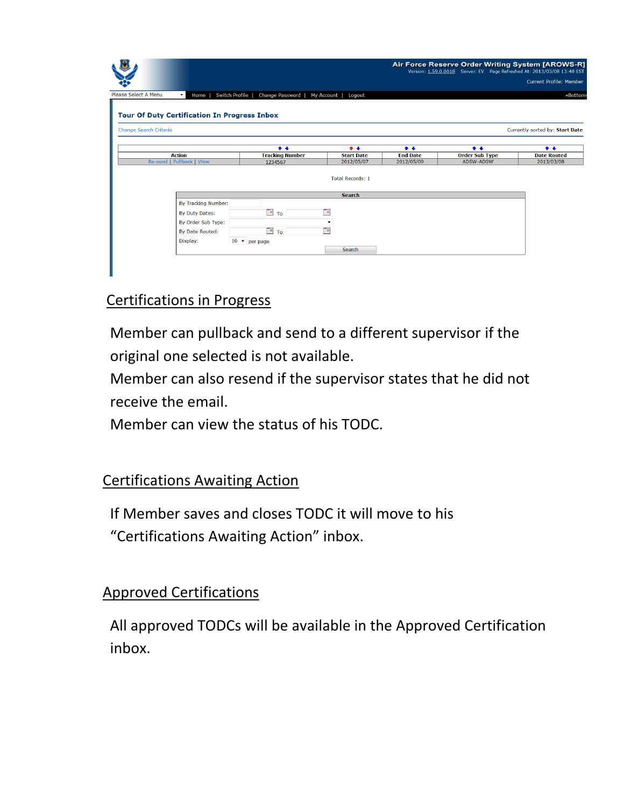| $\blacktriangledown$                                | Home I                 | Switch Profile  <br>Change Password   My Account |                         |                 |                       | Version: 1.59.0.0018 Server: EV Page Refreshed At: 2013/03/08 13:48 EST<br><b>Current Profile: Member</b> |                     |
|-----------------------------------------------------|------------------------|--------------------------------------------------|-------------------------|-----------------|-----------------------|-----------------------------------------------------------------------------------------------------------|---------------------|
| Please Select A Menu                                |                        |                                                  |                         |                 |                       |                                                                                                           |                     |
| <b>Tour Of Duty Certification In Progress Inbox</b> |                        |                                                  | Logout                  |                 |                       |                                                                                                           |                     |
|                                                     |                        |                                                  |                         |                 |                       |                                                                                                           |                     |
|                                                     |                        |                                                  |                         |                 |                       |                                                                                                           |                     |
| Change Search Criteria                              |                        |                                                  |                         |                 |                       | Currently sorted by: Start Date                                                                           |                     |
|                                                     |                        | $\bullet$ $\bullet$                              | $\bullet$ $\bullet$     | $+ +$           | $+ +$                 |                                                                                                           | $\bullet$ $\bullet$ |
| <b>Action</b>                                       |                        | <b>Tracking Number</b>                           | <b>Start Date</b>       | <b>End Date</b> | <b>Order Sub Type</b> | <b>Date Routed</b>                                                                                        |                     |
| Re-send   Pullback   View                           |                        | 1234567                                          | 2012/05/07              | 2012/05/09      | <b>ADSW-ADSW</b>      | 2013/03/08                                                                                                |                     |
|                                                     |                        |                                                  | <b>Total Records: 1</b> |                 |                       |                                                                                                           |                     |
|                                                     |                        |                                                  | <b>Search</b>           |                 |                       |                                                                                                           |                     |
|                                                     | By Tracking Number:    |                                                  |                         |                 |                       |                                                                                                           |                     |
|                                                     | By Duty Dates:         | $\Box$ To                                        | œ                       |                 |                       |                                                                                                           |                     |
|                                                     | By Order Sub Type:     |                                                  | $\blacktriangledown$    |                 |                       |                                                                                                           |                     |
|                                                     | <b>By Date Routed:</b> | $\overline{P}$ To                                | To                      |                 |                       |                                                                                                           |                     |
| Display:                                            |                        | $10$ $\bullet$ per page                          |                         |                 |                       |                                                                                                           |                     |
|                                                     |                        |                                                  | Search                  |                 |                       |                                                                                                           |                     |

#### Certifications in Progress

Member can pullback and send to a different supervisor if the original one selected is not available.

Member can also resend if the supervisor states that he did not receive the email.

Member can view the status of his TODC.

#### Certifications Awaiting Action

If Member saves and closes TODC it will move to his "Certifications Awaiting Action" inbox.

#### Approved Certifications

All approved TODCs will be available in the Approved Certification inbox.